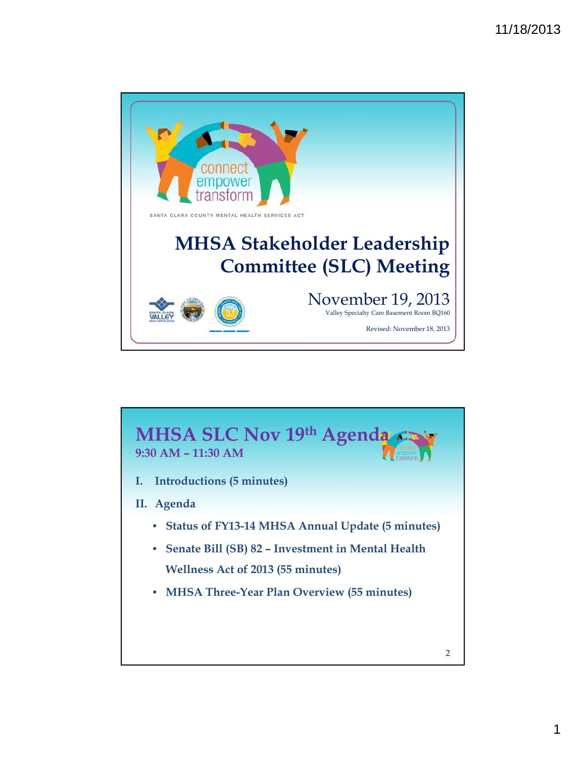

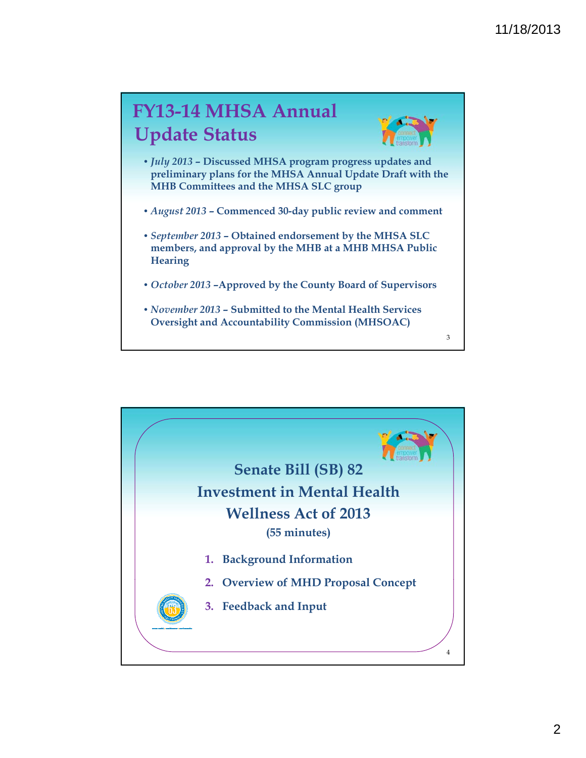## **FY13-14 MHSA Annual Update Status**



3

- *July 2013*  **Discussed MHSA program progress updates and p yp reliminary plans for the MHSA Annual Update Draft with the MHB Committees and the MHSA SLC group**
- *August 2013*  **Commenced 30-day public review and comment**
- *September 2013*  **Obtained endorsement by the MHSA SLC members, and approval by the MHB at a MHB MHSA Public Hearing**
- *October 2013* **–Approved by the County Board of Supervisors**
- *November 2013*  **Submitted to the Mental Health Services Oversight and Accountability Commission (MHSOAC)**

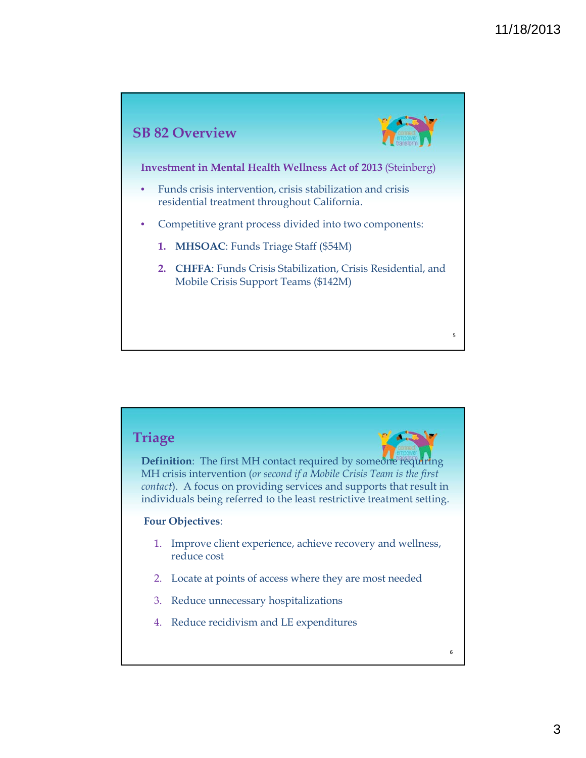

## **Triage**

**Definition**: The first MH contact required by someone requiring MH crisis intervention (*or second if a Mobile Crisis Team is the first contact*). A focus on providing services and supports that result in individuals being referred to the least restrictive treatment setting.

## **Four Objectives**:

- 1. Improve client experience, achieve recovery and wellness, reduce cost
- 2. Locate at points of access where they are most needed
- 3. Reduce unnecessary hospitalizations
- 4. Reduce recidivism and LE expenditures

6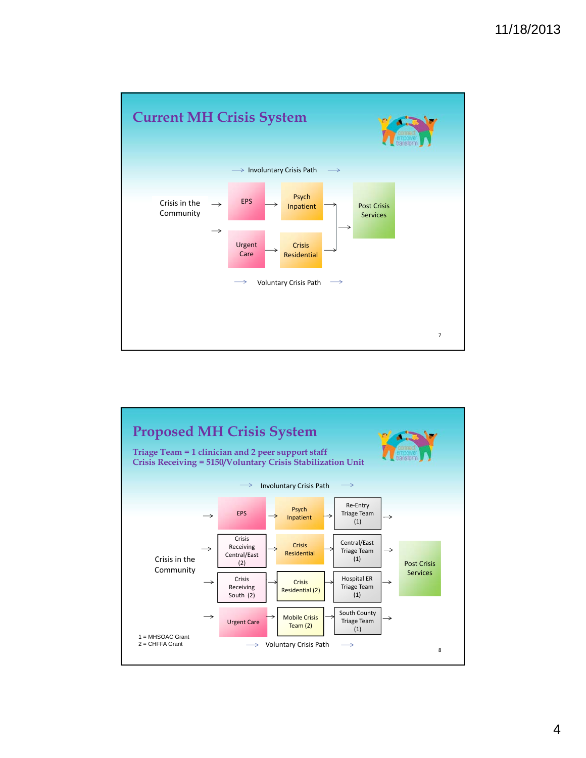

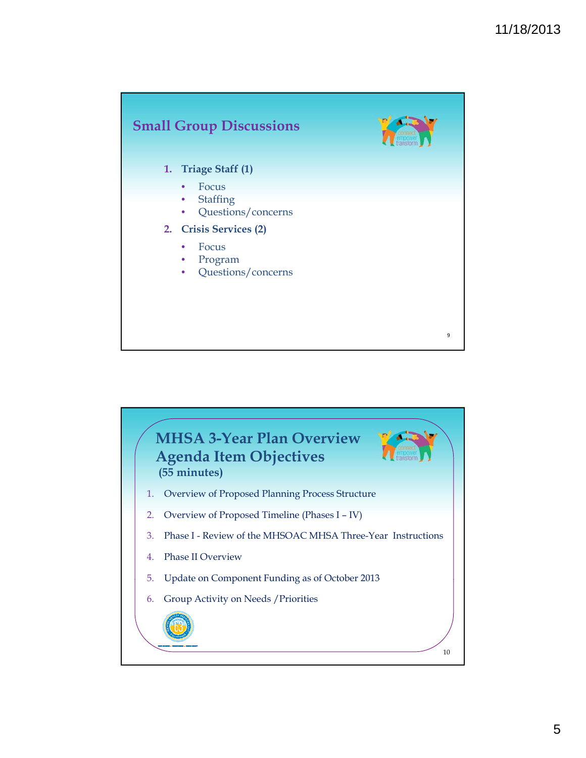

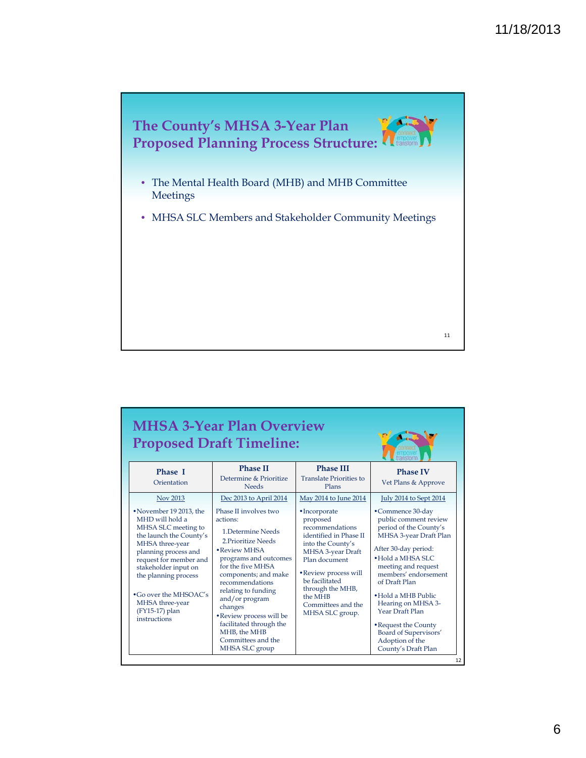

| <b>MHSA 3-Year Plan Overview</b><br><b>Proposed Draft Timeline:</b>                                                                                                                                                                                                                                    |                                                                                                                                                                                                                                                                                                                                                            |                                                                                                                                                                                                                                                      |                                                                                                                                                                                                                                                                                                                                                                        |  |  |  |  |
|--------------------------------------------------------------------------------------------------------------------------------------------------------------------------------------------------------------------------------------------------------------------------------------------------------|------------------------------------------------------------------------------------------------------------------------------------------------------------------------------------------------------------------------------------------------------------------------------------------------------------------------------------------------------------|------------------------------------------------------------------------------------------------------------------------------------------------------------------------------------------------------------------------------------------------------|------------------------------------------------------------------------------------------------------------------------------------------------------------------------------------------------------------------------------------------------------------------------------------------------------------------------------------------------------------------------|--|--|--|--|
| <b>Phase I</b><br>Orientation                                                                                                                                                                                                                                                                          | <b>Phase II</b><br>Determine & Prioritize<br><b>Needs</b>                                                                                                                                                                                                                                                                                                  | <b>Phase III</b><br><b>Translate Priorities to</b><br>Plans                                                                                                                                                                                          | <b>Phase IV</b><br>Vet Plans & Approve                                                                                                                                                                                                                                                                                                                                 |  |  |  |  |
| Nov 2013                                                                                                                                                                                                                                                                                               | Dec 2013 to April 2014                                                                                                                                                                                                                                                                                                                                     | May 2014 to June 2014                                                                                                                                                                                                                                | <b>July 2014 to Sept 2014</b>                                                                                                                                                                                                                                                                                                                                          |  |  |  |  |
| • November 19 2013, the<br>MHD will hold a<br>MHSA SLC meeting to<br>the launch the County's<br>MHSA three-year<br>planning process and<br>request for member and<br>stakeholder input on<br>the planning process<br>$\cdot$ Go over the MHSOAC's<br>MHSA three-year<br>(FY15-17) plan<br>instructions | Phase II involves two<br>actions:<br>1. Determine Needs<br>2 Prioritize Needs<br>• Review MHSA<br>programs and outcomes<br>for the five MHSA<br>components; and make<br>recommendations<br>relating to funding<br>and/or program<br>changes<br>• Review process will be<br>facilitated through the<br>MHB, the MHB<br>Committees and the<br>MHSA SLC group | • Incorporate<br>proposed<br>recommendations<br>identified in Phase II<br>into the County's<br>MHSA 3-year Draft<br>Plan document<br>• Review process will<br>be facilitated<br>through the MHB,<br>the MHB<br>Committees and the<br>MHSA SLC group. | • Commence 30-day<br>public comment review<br>period of the County's<br>MHSA 3-year Draft Plan<br>After 30-day period:<br>• Hold a MHSA SLC<br>meeting and request<br>members' endorsement<br>of Draft Plan<br>• Hold a MHB Public<br>Hearing on MHSA 3-<br>Year Draft Plan<br>• Request the County<br>Board of Supervisors'<br>Adoption of the<br>County's Draft Plan |  |  |  |  |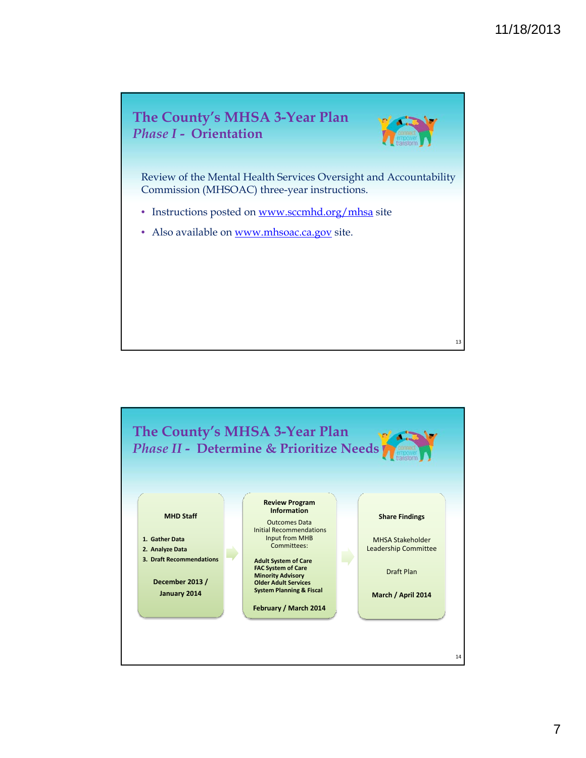



13

Review of the Mental Health Services Oversight and Accountability Commission (MHSOAC) three-year instructions.

- Instructions posted on www.sccmhd.org/mhsa site
- Also available on www.mhsoac.ca.gov site.

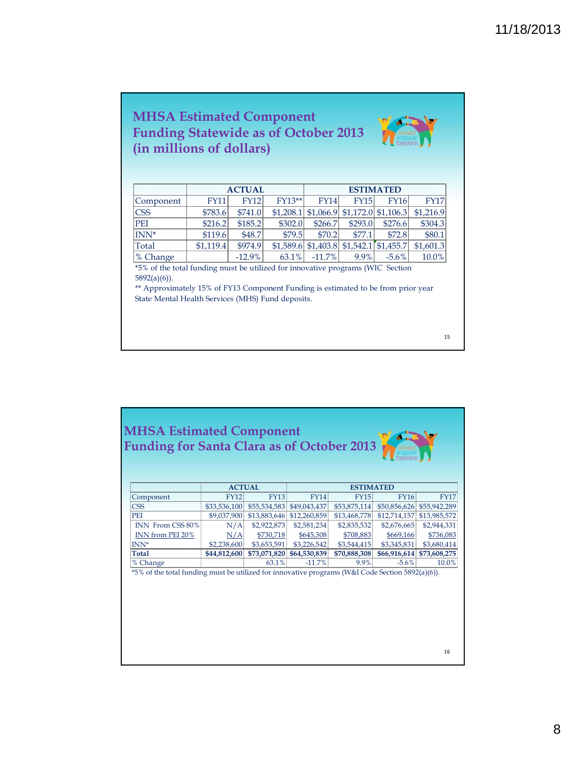## **MHSA Estimated Component Funding Statewide as of October 2013 (in millions of dollars)**

|                  | <b>ACTUAL</b> |          |          | <b>ESTIMATED</b> |             |             |                                                        |
|------------------|---------------|----------|----------|------------------|-------------|-------------|--------------------------------------------------------|
| Component        | <b>FY11</b>   | FY12     | $FY13**$ | <b>FY14</b>      | <b>FY15</b> | <b>FY16</b> | <b>FY17</b>                                            |
| <b>CSS</b>       | \$783.6       | \$741.0  |          |                  |             |             | $$1,208.1$ $$1,066.9$ $$1,172.0$ $$1,106.3$ $$1,216.9$ |
| <b>PEI</b>       | \$216.2       | \$185.2  | \$302.0  | \$266.7          | \$293.0     | \$276.6     | \$304.3                                                |
| INN <sup>*</sup> | \$119.6       | \$48.7   | \$79.5   | \$70.2           | \$77.1      | \$72.8      | \$80.1                                                 |
| Total            | \$1,119.4     | \$974.9  |          |                  |             |             | $$1,589.6$ $$1,403.8$ $$1,542.1$ $$1,455.7$ $$1,601.3$ |
| % Change         |               | $-12.9%$ | 63.1%    | $-11.7\%$        | $9.9\%$     | $-5.6\%$    | 10.0%                                                  |

\*5% of the total funding must be utilized for innovative programs (WIC Section 5892(a)(6)).

\*\* Approximately 15% of FY13 Component Funding is estimated to be from prior year State Mental Health Services (MHS) Fund deposits.

15

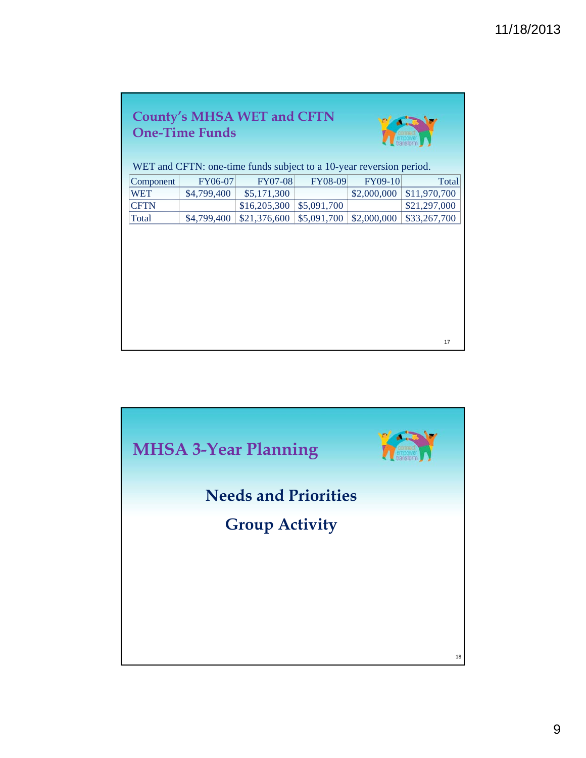| <b>County's MHSA WET and CFTN</b>                                   |             |                |             |             |              |  |  |  |
|---------------------------------------------------------------------|-------------|----------------|-------------|-------------|--------------|--|--|--|
| <b>One-Time Funds</b>                                               |             |                |             |             |              |  |  |  |
|                                                                     |             |                |             |             | transform    |  |  |  |
|                                                                     |             |                |             |             |              |  |  |  |
| WET and CFTN: one-time funds subject to a 10-year reversion period. |             |                |             |             |              |  |  |  |
| Component                                                           | FY06-07     | <b>FY07-08</b> | FY08-09     | FY09-10     | Total        |  |  |  |
| WET                                                                 | \$4,799,400 | \$5,171,300    |             | \$2,000,000 | \$11,970,700 |  |  |  |
| <b>CFTN</b>                                                         |             | \$16,205,300   | \$5,091,700 |             | \$21,297,000 |  |  |  |
| Total                                                               | \$4,799,400 | \$21,376,600   | \$5,091,700 | \$2,000,000 | \$33,267,700 |  |  |  |
|                                                                     |             |                |             |             |              |  |  |  |
|                                                                     |             |                |             |             |              |  |  |  |
|                                                                     |             |                |             |             |              |  |  |  |
|                                                                     |             |                |             |             |              |  |  |  |
|                                                                     |             |                |             |             |              |  |  |  |
|                                                                     |             |                |             |             |              |  |  |  |
|                                                                     |             |                |             |             |              |  |  |  |
|                                                                     |             |                |             |             |              |  |  |  |
|                                                                     |             |                |             |             |              |  |  |  |
|                                                                     |             |                |             |             |              |  |  |  |
|                                                                     |             |                |             |             | 17           |  |  |  |